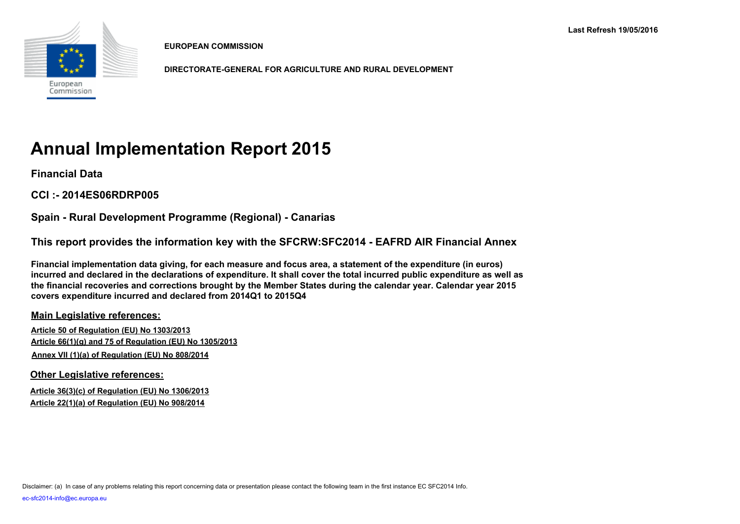

**EUROPEAN COMMISSION**

**DIRECTORATE-GENERAL FOR AGRICULTURE AND RURAL DEVELOPMENT**

# **Annual Implementation Report 2015**

**Financial Data**

**CCI :- 2014ES06RDRP005**

**Spain - Rural Development Programme (Regional) - Canarias**

**This report provides the information key with the SFCRW:SFC2014 - EAFRD AIR Financial Annex**

**Financial implementation data giving, for each measure and focus area, a statement of the expenditure (in euros) incurred and declared in the declarations of expenditure. It shall cover the total incurred public expenditure as well as the financial recoveries and corrections brought by the Member States during the calendar year. Calendar year 2015 covers expenditure incurred and declared from 2014Q1 to 2015Q4**

**Main Legislative references:**

**Article 50 of Regulation (EU) No 1303/2013 Article 66(1)(g) and 75 of Regulation (EU) No 1305/2013 Annex VII (1)(a) of Regulation (EU) No 808/2014**

**Other Legislative references:**

**Article 36(3)(c) of Regulation (EU) No 1306/2013 Article 22(1)(a) of Regulation (EU) No 908/2014**

Disclaimer: (a) In case of any problems relating this report concerning data or presentation please contact the following team in the first instance EC SFC2014 Info.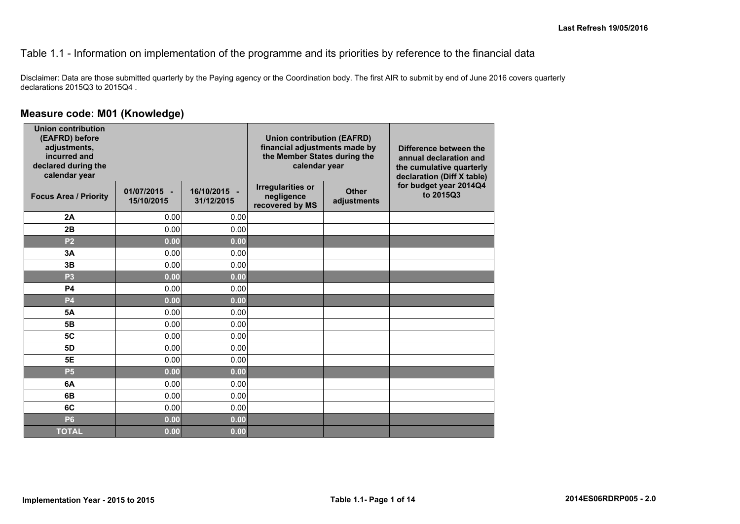#### Table 1.1 - Information on implementation of the programme and its priorities by reference to the financial data

Disclaimer: Data are those submitted quarterly by the Paying agency or the Coordination body. The first AIR to submit by end of June 2016 covers quarterly declarations 2015Q3 to 2015Q4 .

#### **Measure code: M01 (Knowledge)**

| <b>Union contribution</b><br>(EAFRD) before<br>adjustments,<br>incurred and<br>declared during the<br>calendar year |                            |                            |                                                           | <b>Union contribution (EAFRD)</b><br>financial adjustments made by<br>Difference between the<br>the Member States during the<br>annual declaration and<br>calendar year<br>the cumulative quarterly<br>declaration (Diff X table) |                                     |  |
|---------------------------------------------------------------------------------------------------------------------|----------------------------|----------------------------|-----------------------------------------------------------|-----------------------------------------------------------------------------------------------------------------------------------------------------------------------------------------------------------------------------------|-------------------------------------|--|
| <b>Focus Area / Priority</b>                                                                                        | 01/07/2015 -<br>15/10/2015 | 16/10/2015 -<br>31/12/2015 | <b>Irregularities or</b><br>negligence<br>recovered by MS | <b>Other</b><br>adjustments                                                                                                                                                                                                       | for budget year 2014Q4<br>to 2015Q3 |  |
| 2A                                                                                                                  | 0.00                       | 0.00                       |                                                           |                                                                                                                                                                                                                                   |                                     |  |
| 2B                                                                                                                  | 0.00                       | 0.00                       |                                                           |                                                                                                                                                                                                                                   |                                     |  |
| P <sub>2</sub>                                                                                                      | 0.00                       | 0.00                       |                                                           |                                                                                                                                                                                                                                   |                                     |  |
| 3A                                                                                                                  | 0.00                       | 0.00                       |                                                           |                                                                                                                                                                                                                                   |                                     |  |
| 3B                                                                                                                  | 0.00                       | 0.00                       |                                                           |                                                                                                                                                                                                                                   |                                     |  |
| P <sub>3</sub>                                                                                                      | 0.00                       | 0.00                       |                                                           |                                                                                                                                                                                                                                   |                                     |  |
| <b>P4</b>                                                                                                           | 0.00                       | 0.00                       |                                                           |                                                                                                                                                                                                                                   |                                     |  |
| <b>P4</b>                                                                                                           | 0.00                       | 0.00                       |                                                           |                                                                                                                                                                                                                                   |                                     |  |
| <b>5A</b>                                                                                                           | 0.00                       | 0.00                       |                                                           |                                                                                                                                                                                                                                   |                                     |  |
| 5 <b>B</b>                                                                                                          | 0.00                       | 0.00                       |                                                           |                                                                                                                                                                                                                                   |                                     |  |
| <b>5C</b>                                                                                                           | 0.00                       | 0.00                       |                                                           |                                                                                                                                                                                                                                   |                                     |  |
| 5D                                                                                                                  | 0.00                       | 0.00                       |                                                           |                                                                                                                                                                                                                                   |                                     |  |
| <b>5E</b>                                                                                                           | 0.00                       | 0.00                       |                                                           |                                                                                                                                                                                                                                   |                                     |  |
| <b>P5</b>                                                                                                           | 0.00                       | 0.00                       |                                                           |                                                                                                                                                                                                                                   |                                     |  |
| 6A                                                                                                                  | 0.00                       | 0.00                       |                                                           |                                                                                                                                                                                                                                   |                                     |  |
| 6B                                                                                                                  | 0.00                       | 0.00                       |                                                           |                                                                                                                                                                                                                                   |                                     |  |
| 6C                                                                                                                  | 0.00                       | 0.00                       |                                                           |                                                                                                                                                                                                                                   |                                     |  |
| <b>P6</b>                                                                                                           | 0.00                       | 0.00                       |                                                           |                                                                                                                                                                                                                                   |                                     |  |
| <b>TOTAL</b>                                                                                                        | 0.00                       | 0.00                       |                                                           |                                                                                                                                                                                                                                   |                                     |  |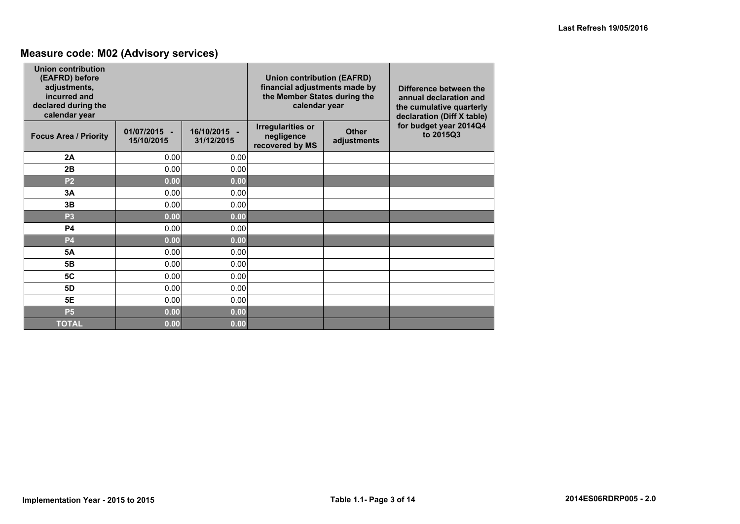### **Measure code: M02 (Advisory services)**

| Union contribution<br>(EAFRD) before<br>adjustments,<br>incurred and<br>declared during the<br>calendar year |                            |                            | <b>Union contribution (EAFRD)</b><br>financial adjustments made by<br>the Member States during the<br>calendar year |                             | Difference between the<br>annual declaration and<br>the cumulative quarterly<br>declaration (Diff X table) |  |
|--------------------------------------------------------------------------------------------------------------|----------------------------|----------------------------|---------------------------------------------------------------------------------------------------------------------|-----------------------------|------------------------------------------------------------------------------------------------------------|--|
| <b>Focus Area / Priority</b>                                                                                 | 01/07/2015 -<br>15/10/2015 | 16/10/2015 -<br>31/12/2015 | <b>Irregularities or</b><br>negligence<br>recovered by MS                                                           | <b>Other</b><br>adjustments | for budget year 2014Q4<br>to 2015Q3                                                                        |  |
| 2A                                                                                                           | 0.00                       | 0.00                       |                                                                                                                     |                             |                                                                                                            |  |
| 2B                                                                                                           | 0.00                       | 0.00                       |                                                                                                                     |                             |                                                                                                            |  |
| P <sub>2</sub>                                                                                               | 0.00                       | 0.00                       |                                                                                                                     |                             |                                                                                                            |  |
| 3A                                                                                                           | 0.00                       | 0.00                       |                                                                                                                     |                             |                                                                                                            |  |
| 3B                                                                                                           | 0.00                       | 0.00                       |                                                                                                                     |                             |                                                                                                            |  |
| P <sub>3</sub>                                                                                               | 0.00                       | 0.00                       |                                                                                                                     |                             |                                                                                                            |  |
| <b>P4</b>                                                                                                    | 0.00                       | 0.00                       |                                                                                                                     |                             |                                                                                                            |  |
| <b>P4</b>                                                                                                    | 0.00                       | 0.00                       |                                                                                                                     |                             |                                                                                                            |  |
| <b>5A</b>                                                                                                    | 0.00                       | 0.00                       |                                                                                                                     |                             |                                                                                                            |  |
| 5 <b>B</b>                                                                                                   | 0.00                       | 0.00                       |                                                                                                                     |                             |                                                                                                            |  |
| 5C                                                                                                           | 0.00                       | 0.00                       |                                                                                                                     |                             |                                                                                                            |  |
| 5D                                                                                                           | 0.00                       | 0.00                       |                                                                                                                     |                             |                                                                                                            |  |
| 5E                                                                                                           | 0.00                       | 0.00                       |                                                                                                                     |                             |                                                                                                            |  |
| <b>P5</b>                                                                                                    | 0.00                       | 0.00                       |                                                                                                                     |                             |                                                                                                            |  |
| <b>TOTAL</b>                                                                                                 | 0.00                       | 0.00                       |                                                                                                                     |                             |                                                                                                            |  |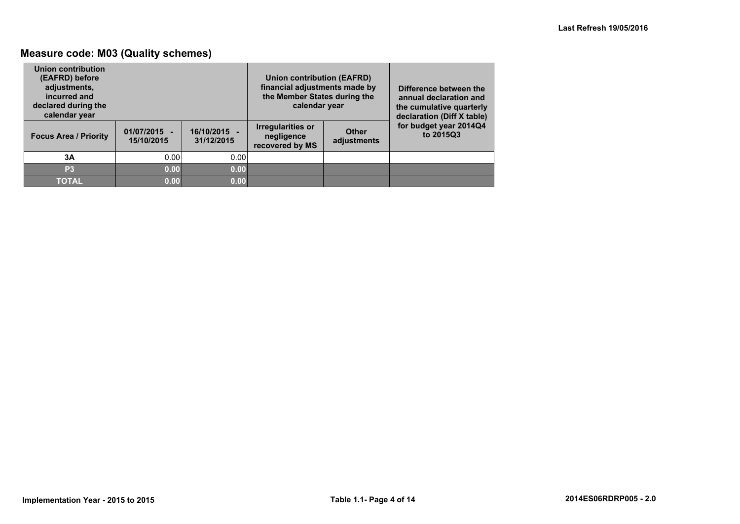### **Measure code: M03 (Quality schemes)**

| Union contribution<br>(EAFRD) before<br>adjustments,<br>incurred and<br>declared during the<br>calendar year |                              |                          | Union contribution (EAFRD)<br>financial adjustments made by<br>the Member States during the<br>calendar year |                             | Difference between the<br>annual declaration and<br>the cumulative quarterly<br>declaration (Diff X table) |
|--------------------------------------------------------------------------------------------------------------|------------------------------|--------------------------|--------------------------------------------------------------------------------------------------------------|-----------------------------|------------------------------------------------------------------------------------------------------------|
| <b>Focus Area / Priority</b>                                                                                 | $01/07/2015 -$<br>15/10/2015 | 16/10/2015<br>31/12/2015 | <b>Irregularities or</b><br>negligence<br>recovered by MS                                                    | <b>Other</b><br>adjustments | for budget year 2014Q4<br>to 2015Q3                                                                        |
| 3A                                                                                                           | 0.00                         | 0.00                     |                                                                                                              |                             |                                                                                                            |
| P <sub>3</sub>                                                                                               | 0.00                         | 0.00                     |                                                                                                              |                             |                                                                                                            |
| <b>TOTAL</b>                                                                                                 | 0.00                         | 0.00                     |                                                                                                              |                             |                                                                                                            |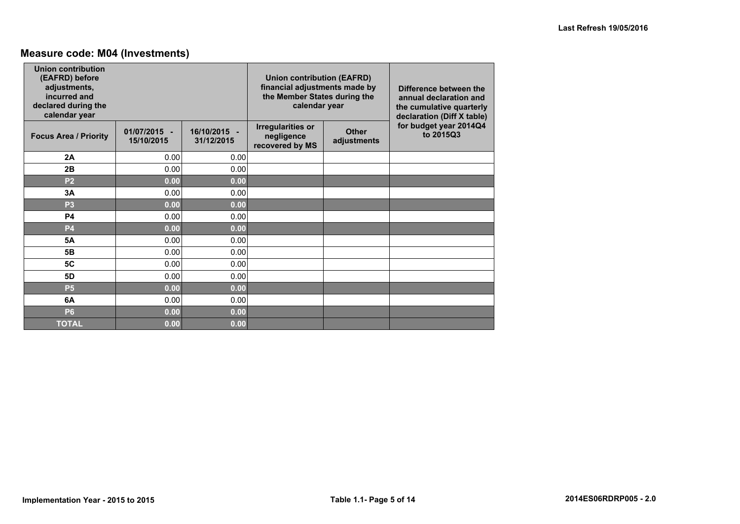# **Measure code: M04 (Investments)**

| Union contribution<br>(EAFRD) before<br>adjustments,<br>incurred and<br>declared during the<br>calendar year |                            |                            | <b>Union contribution (EAFRD)</b><br>financial adjustments made by<br>the Member States during the<br>calendar year |                             | Difference between the<br>annual declaration and<br>the cumulative quarterly<br>declaration (Diff X table) |  |
|--------------------------------------------------------------------------------------------------------------|----------------------------|----------------------------|---------------------------------------------------------------------------------------------------------------------|-----------------------------|------------------------------------------------------------------------------------------------------------|--|
| <b>Focus Area / Priority</b>                                                                                 | 01/07/2015 -<br>15/10/2015 | 16/10/2015 -<br>31/12/2015 | <b>Irregularities or</b><br>negligence<br>recovered by MS                                                           | <b>Other</b><br>adjustments | for budget year 2014Q4<br>to 2015Q3                                                                        |  |
| 2A                                                                                                           | 0.00                       | 0.00                       |                                                                                                                     |                             |                                                                                                            |  |
| 2B                                                                                                           | 0.00                       | 0.00                       |                                                                                                                     |                             |                                                                                                            |  |
| P <sub>2</sub>                                                                                               | 0.00                       | 0.00                       |                                                                                                                     |                             |                                                                                                            |  |
| 3A                                                                                                           | 0.00                       | 0.00                       |                                                                                                                     |                             |                                                                                                            |  |
| P <sub>3</sub>                                                                                               | 0.00                       | 0.00                       |                                                                                                                     |                             |                                                                                                            |  |
| <b>P4</b>                                                                                                    | 0.00                       | 0.00                       |                                                                                                                     |                             |                                                                                                            |  |
| <b>P4</b>                                                                                                    | 0.00                       | 0.00                       |                                                                                                                     |                             |                                                                                                            |  |
| <b>5A</b>                                                                                                    | 0.00                       | 0.00                       |                                                                                                                     |                             |                                                                                                            |  |
| 5 <b>B</b>                                                                                                   | 0.00                       | 0.00                       |                                                                                                                     |                             |                                                                                                            |  |
| 5C                                                                                                           | 0.00                       | 0.00                       |                                                                                                                     |                             |                                                                                                            |  |
| <b>5D</b>                                                                                                    | 0.00                       | 0.00                       |                                                                                                                     |                             |                                                                                                            |  |
| <b>P5</b>                                                                                                    | 0.00                       | 0.00                       |                                                                                                                     |                             |                                                                                                            |  |
| 6A                                                                                                           | 0.00                       | 0.00                       |                                                                                                                     |                             |                                                                                                            |  |
| <b>P6</b>                                                                                                    | 0.00                       | 0.00                       |                                                                                                                     |                             |                                                                                                            |  |
| <b>TOTAL</b>                                                                                                 | 0.00                       | 0.00                       |                                                                                                                     |                             |                                                                                                            |  |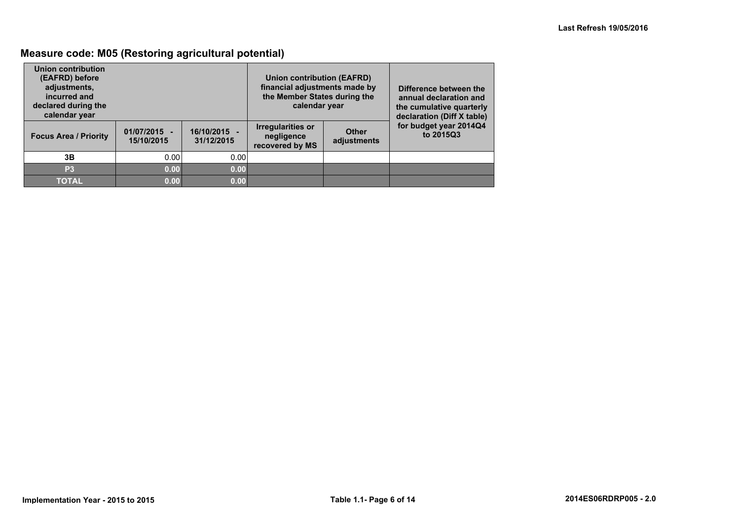### **Measure code: M05 (Restoring agricultural potential)**

| Union contribution<br>(EAFRD) before<br>adjustments,<br>incurred and<br>declared during the<br>calendar year |                              |                          | Union contribution (EAFRD)<br>financial adjustments made by<br>the Member States during the<br>calendar year |                             | Difference between the<br>annual declaration and<br>the cumulative quarterly<br>declaration (Diff X table) |
|--------------------------------------------------------------------------------------------------------------|------------------------------|--------------------------|--------------------------------------------------------------------------------------------------------------|-----------------------------|------------------------------------------------------------------------------------------------------------|
| <b>Focus Area / Priority</b>                                                                                 | $01/07/2015 -$<br>15/10/2015 | 16/10/2015<br>31/12/2015 | <b>Irregularities or</b><br>negligence<br>recovered by MS                                                    | <b>Other</b><br>adjustments | for budget year 2014Q4<br>to 2015Q3                                                                        |
| 3B                                                                                                           | 0.00                         | 0.00                     |                                                                                                              |                             |                                                                                                            |
| P <sub>3</sub>                                                                                               | 0.00                         | 0.00                     |                                                                                                              |                             |                                                                                                            |
| <b>TOTAL</b>                                                                                                 | 0.00                         | 0.00                     |                                                                                                              |                             |                                                                                                            |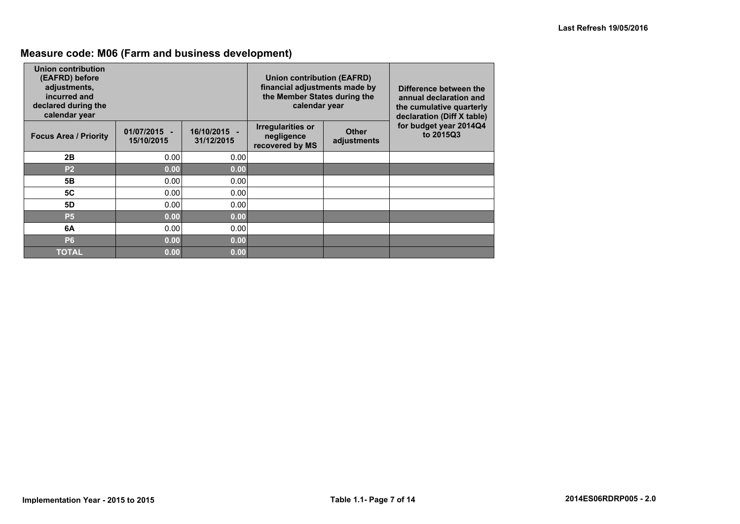# **Measure code: M06 (Farm and business development)**

| Union contribution<br>(EAFRD) before<br>adjustments,<br>incurred and<br>declared during the<br>calendar year |                              |                            | Union contribution (EAFRD)<br>financial adjustments made by<br>the Member States during the<br>calendar year |                             | Difference between the<br>annual declaration and<br>the cumulative quarterly<br>declaration (Diff X table) |
|--------------------------------------------------------------------------------------------------------------|------------------------------|----------------------------|--------------------------------------------------------------------------------------------------------------|-----------------------------|------------------------------------------------------------------------------------------------------------|
| <b>Focus Area / Priority</b>                                                                                 | $01/07/2015 -$<br>15/10/2015 | 16/10/2015 -<br>31/12/2015 | <b>Irregularities or</b><br>negligence<br>recovered by MS                                                    | <b>Other</b><br>adjustments | for budget year 2014Q4<br>to 2015Q3                                                                        |
| 2B                                                                                                           | 0.00                         | 0.00                       |                                                                                                              |                             |                                                                                                            |
| P <sub>2</sub>                                                                                               | 0.00                         | 0.00                       |                                                                                                              |                             |                                                                                                            |
| 5B                                                                                                           | 0.00                         | 0.00                       |                                                                                                              |                             |                                                                                                            |
| <b>5C</b>                                                                                                    | 0.00                         | 0.00                       |                                                                                                              |                             |                                                                                                            |
| 5D                                                                                                           | 0.00                         | 0.00                       |                                                                                                              |                             |                                                                                                            |
| <b>P5</b>                                                                                                    | 0.00                         | 0.00                       |                                                                                                              |                             |                                                                                                            |
| 6A                                                                                                           | 0.00                         | 0.00                       |                                                                                                              |                             |                                                                                                            |
| <b>P6</b>                                                                                                    | 0.00                         | 0.00                       |                                                                                                              |                             |                                                                                                            |
| <b>TOTAL</b>                                                                                                 | 0.00                         | 0.00                       |                                                                                                              |                             |                                                                                                            |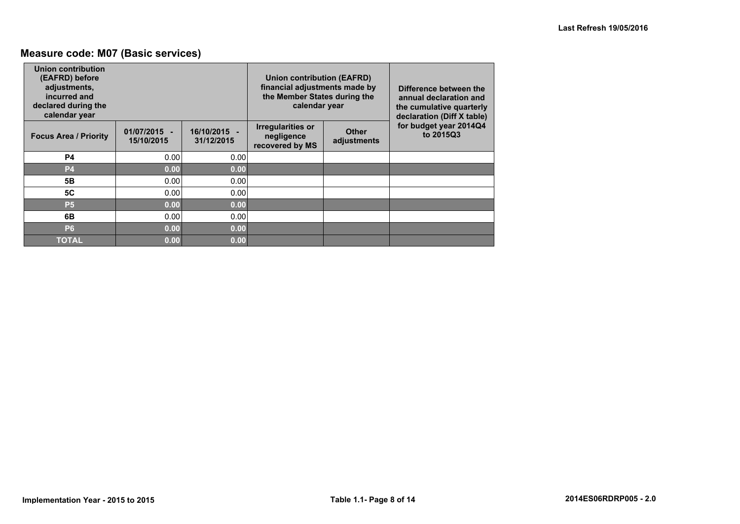### **Measure code: M07 (Basic services)**

| Union contribution<br>(EAFRD) before<br>adjustments,<br>incurred and<br>declared during the<br>calendar year |                              |                            | Union contribution (EAFRD)<br>financial adjustments made by<br>the Member States during the<br>calendar year |                             | Difference between the<br>annual declaration and<br>the cumulative quarterly<br>declaration (Diff X table) |  |
|--------------------------------------------------------------------------------------------------------------|------------------------------|----------------------------|--------------------------------------------------------------------------------------------------------------|-----------------------------|------------------------------------------------------------------------------------------------------------|--|
| <b>Focus Area / Priority</b>                                                                                 | $01/07/2015 -$<br>15/10/2015 | 16/10/2015 -<br>31/12/2015 | <b>Irregularities or</b><br>negligence<br>recovered by MS                                                    | <b>Other</b><br>adjustments | for budget year 2014Q4<br>to 2015Q3                                                                        |  |
| <b>P4</b>                                                                                                    | 0.00                         | 0.00                       |                                                                                                              |                             |                                                                                                            |  |
| <b>P4</b>                                                                                                    | 0.00                         | 0.00                       |                                                                                                              |                             |                                                                                                            |  |
| 5 <b>B</b>                                                                                                   | 0.00                         | 0.00                       |                                                                                                              |                             |                                                                                                            |  |
| <b>5C</b>                                                                                                    | 0.00                         | 0.00                       |                                                                                                              |                             |                                                                                                            |  |
| <b>P5</b>                                                                                                    | 0.00                         | 0.00                       |                                                                                                              |                             |                                                                                                            |  |
| 6B                                                                                                           | 0.00                         | 0.00                       |                                                                                                              |                             |                                                                                                            |  |
| <b>P6</b>                                                                                                    | 0.00                         | 0.00                       |                                                                                                              |                             |                                                                                                            |  |
| <b>TOTAL</b>                                                                                                 | 0.00                         | 0.00                       |                                                                                                              |                             |                                                                                                            |  |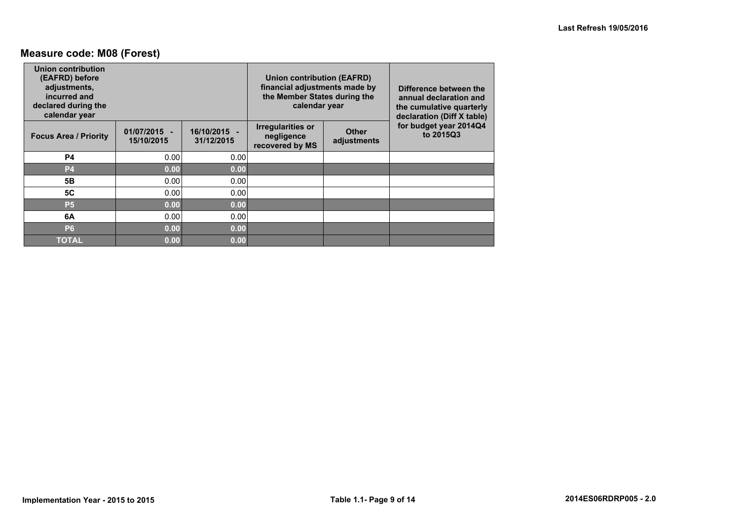### **Measure code: M08 (Forest)**

| Union contribution<br>(EAFRD) before<br>adjustments,<br>incurred and<br>declared during the<br>calendar year |                              |                            | <b>Union contribution (EAFRD)</b><br>financial adjustments made by<br>the Member States during the<br>calendar year |                             | Difference between the<br>annual declaration and<br>the cumulative quarterly<br>declaration (Diff X table) |
|--------------------------------------------------------------------------------------------------------------|------------------------------|----------------------------|---------------------------------------------------------------------------------------------------------------------|-----------------------------|------------------------------------------------------------------------------------------------------------|
| <b>Focus Area / Priority</b>                                                                                 | $01/07/2015 -$<br>15/10/2015 | 16/10/2015 -<br>31/12/2015 | <b>Irregularities or</b><br>negligence<br>recovered by MS                                                           | <b>Other</b><br>adjustments | for budget year 2014Q4<br>to 2015Q3                                                                        |
| <b>P4</b>                                                                                                    | 0.00                         | 0.00                       |                                                                                                                     |                             |                                                                                                            |
| <b>P4</b>                                                                                                    | 0.00                         | 0.00                       |                                                                                                                     |                             |                                                                                                            |
| 5 <b>B</b>                                                                                                   | 0.00                         | 0.00                       |                                                                                                                     |                             |                                                                                                            |
| <b>5C</b>                                                                                                    | 0.00                         | 0.00                       |                                                                                                                     |                             |                                                                                                            |
| <b>P5</b>                                                                                                    | 0.00                         | 0.00                       |                                                                                                                     |                             |                                                                                                            |
| 6A                                                                                                           | 0.00                         | 0.00                       |                                                                                                                     |                             |                                                                                                            |
| <b>P6</b>                                                                                                    | 0.00                         | 0.00                       |                                                                                                                     |                             |                                                                                                            |
| <b>TOTAL</b>                                                                                                 | 0.00                         | 0.00                       |                                                                                                                     |                             |                                                                                                            |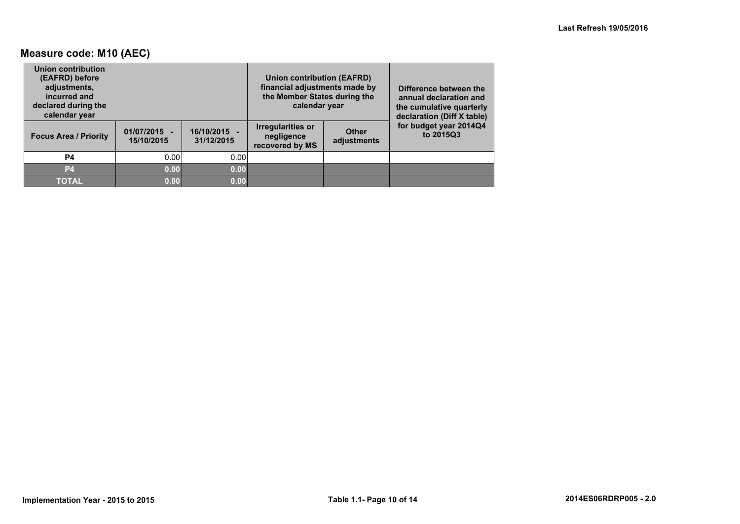### **Measure code: M10 (AEC)**

| Union contribution<br>(EAFRD) before<br>adjustments,<br>incurred and<br>declared during the<br>calendar year |                              |                          | Union contribution (EAFRD)<br>financial adjustments made by<br>the Member States during the<br>calendar year |                             | Difference between the<br>annual declaration and<br>the cumulative quarterly<br>declaration (Diff X table) |
|--------------------------------------------------------------------------------------------------------------|------------------------------|--------------------------|--------------------------------------------------------------------------------------------------------------|-----------------------------|------------------------------------------------------------------------------------------------------------|
| <b>Focus Area / Priority</b>                                                                                 | $01/07/2015 -$<br>15/10/2015 | 16/10/2015<br>31/12/2015 | <b>Irregularities or</b><br>negligence<br>recovered by MS                                                    | <b>Other</b><br>adjustments | for budget year 2014Q4<br>to 2015Q3                                                                        |
| <b>P4</b>                                                                                                    | 0.00                         | 0.00                     |                                                                                                              |                             |                                                                                                            |
| P <sub>4</sub>                                                                                               | 0.00                         | 0.00                     |                                                                                                              |                             |                                                                                                            |
| <b>TOTAL</b>                                                                                                 | 0.00                         | 0.00                     |                                                                                                              |                             |                                                                                                            |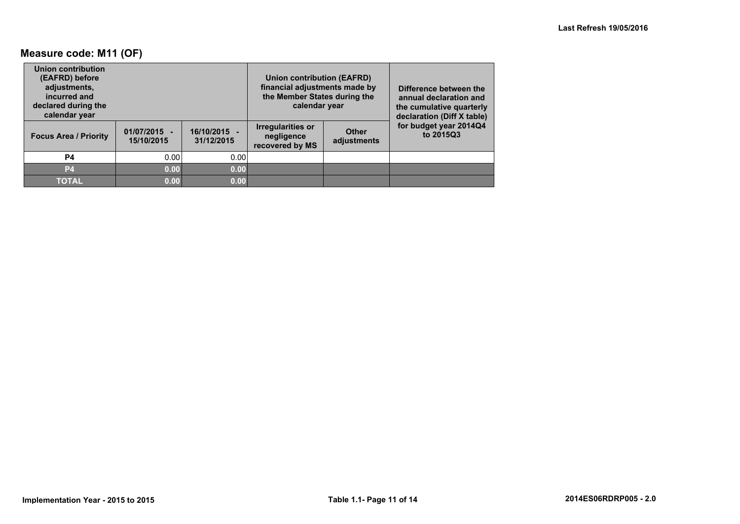### **Measure code: M11 (OF)**

| Union contribution<br>(EAFRD) before<br>adjustments,<br>incurred and<br>declared during the<br>calendar year |                              |                          | Union contribution (EAFRD)<br>financial adjustments made by<br>the Member States during the<br>calendar year |                             | Difference between the<br>annual declaration and<br>the cumulative quarterly<br>declaration (Diff X table) |
|--------------------------------------------------------------------------------------------------------------|------------------------------|--------------------------|--------------------------------------------------------------------------------------------------------------|-----------------------------|------------------------------------------------------------------------------------------------------------|
| <b>Focus Area / Priority</b>                                                                                 | $01/07/2015 -$<br>15/10/2015 | 16/10/2015<br>31/12/2015 | <b>Irregularities or</b><br>negligence<br>recovered by MS                                                    | <b>Other</b><br>adjustments | for budget year 2014Q4<br>to 2015Q3                                                                        |
| <b>P4</b>                                                                                                    | 0.00                         | 0.00                     |                                                                                                              |                             |                                                                                                            |
| P <sub>4</sub>                                                                                               | 0.00                         | 0.00                     |                                                                                                              |                             |                                                                                                            |
| <b>TOTAL</b>                                                                                                 | 0.00                         | 0.00                     |                                                                                                              |                             |                                                                                                            |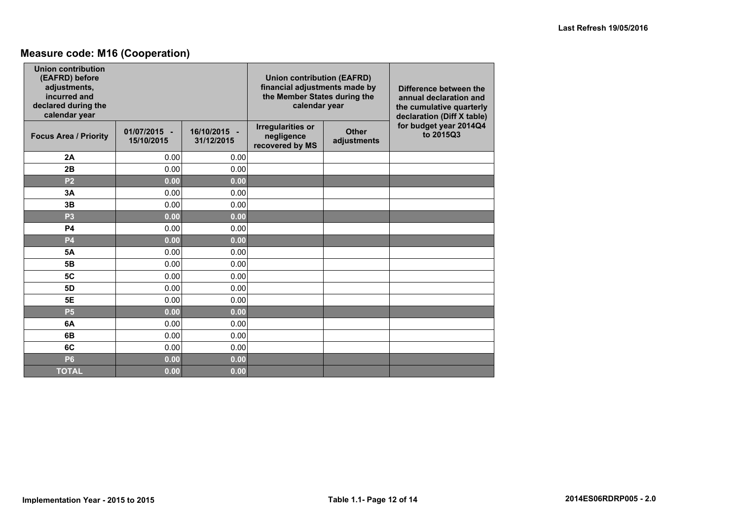### **Measure code: M16 (Cooperation)**

| <b>Union contribution</b><br>(EAFRD) before<br>adjustments,<br>incurred and<br>declared during the<br>calendar year |                            |                            | <b>Union contribution (EAFRD)</b><br>financial adjustments made by<br>the Member States during the<br>calendar year |                             | Difference between the<br>annual declaration and<br>the cumulative quarterly<br>declaration (Diff X table) |  |  |
|---------------------------------------------------------------------------------------------------------------------|----------------------------|----------------------------|---------------------------------------------------------------------------------------------------------------------|-----------------------------|------------------------------------------------------------------------------------------------------------|--|--|
| <b>Focus Area / Priority</b>                                                                                        | 01/07/2015 -<br>15/10/2015 | 16/10/2015 -<br>31/12/2015 | <b>Irregularities or</b><br>negligence<br>recovered by MS                                                           | <b>Other</b><br>adjustments | for budget year 2014Q4<br>to 2015Q3                                                                        |  |  |
| 2A                                                                                                                  | 0.00                       | 0.00                       |                                                                                                                     |                             |                                                                                                            |  |  |
| 2B                                                                                                                  | 0.00                       | 0.00                       |                                                                                                                     |                             |                                                                                                            |  |  |
| P <sub>2</sub>                                                                                                      | 0.00                       | 0.00                       |                                                                                                                     |                             |                                                                                                            |  |  |
| 3A                                                                                                                  | 0.00                       | 0.00                       |                                                                                                                     |                             |                                                                                                            |  |  |
| 3B                                                                                                                  | 0.00                       | 0.00                       |                                                                                                                     |                             |                                                                                                            |  |  |
| P <sub>3</sub>                                                                                                      | 0.00                       | 0.00                       |                                                                                                                     |                             |                                                                                                            |  |  |
| <b>P4</b>                                                                                                           | 0.00                       | 0.00                       |                                                                                                                     |                             |                                                                                                            |  |  |
| <b>P4</b>                                                                                                           | 0.00                       | 0.00                       |                                                                                                                     |                             |                                                                                                            |  |  |
| <b>5A</b>                                                                                                           | 0.00                       | 0.00                       |                                                                                                                     |                             |                                                                                                            |  |  |
| 5 <b>B</b>                                                                                                          | 0.00                       | 0.00                       |                                                                                                                     |                             |                                                                                                            |  |  |
| 5C                                                                                                                  | 0.00                       | 0.00                       |                                                                                                                     |                             |                                                                                                            |  |  |
| 5D                                                                                                                  | 0.00                       | 0.00                       |                                                                                                                     |                             |                                                                                                            |  |  |
| <b>5E</b>                                                                                                           | 0.00                       | 0.00                       |                                                                                                                     |                             |                                                                                                            |  |  |
| <b>P5</b>                                                                                                           | 0.00                       | 0.00                       |                                                                                                                     |                             |                                                                                                            |  |  |
| 6A                                                                                                                  | 0.00                       | 0.00                       |                                                                                                                     |                             |                                                                                                            |  |  |
| 6B                                                                                                                  | 0.00                       | 0.00                       |                                                                                                                     |                             |                                                                                                            |  |  |
| 6C                                                                                                                  | 0.00                       | 0.00                       |                                                                                                                     |                             |                                                                                                            |  |  |
| <b>P6</b>                                                                                                           | 0.00                       | 0.00                       |                                                                                                                     |                             |                                                                                                            |  |  |
| <b>TOTAL</b>                                                                                                        | 0.00                       | 0.00                       |                                                                                                                     |                             |                                                                                                            |  |  |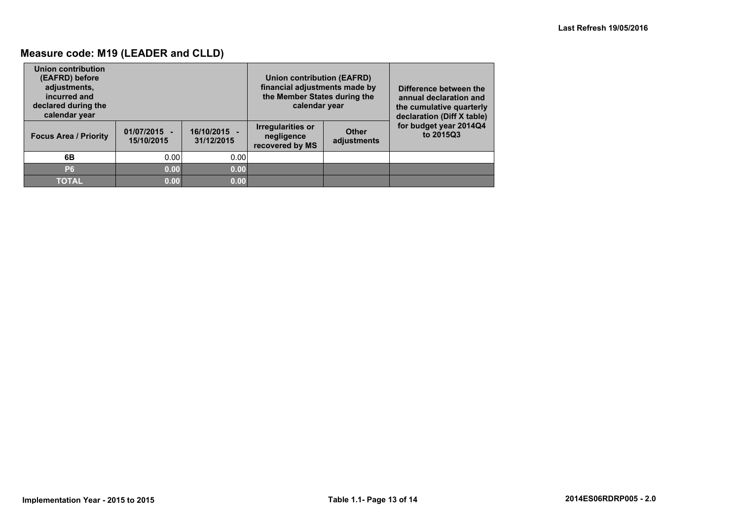### **Measure code: M19 (LEADER and CLLD)**

| Union contribution<br>(EAFRD) before<br>adjustments,<br>incurred and<br>declared during the<br>calendar year |                              |                          | Union contribution (EAFRD)<br>financial adjustments made by<br>the Member States during the<br>calendar year |                             | Difference between the<br>annual declaration and<br>the cumulative quarterly<br>declaration (Diff X table) |
|--------------------------------------------------------------------------------------------------------------|------------------------------|--------------------------|--------------------------------------------------------------------------------------------------------------|-----------------------------|------------------------------------------------------------------------------------------------------------|
| <b>Focus Area / Priority</b>                                                                                 | $01/07/2015 -$<br>15/10/2015 | 16/10/2015<br>31/12/2015 | <b>Irregularities or</b><br>negligence<br>recovered by MS                                                    | <b>Other</b><br>adjustments | for budget year 2014Q4<br>to 2015Q3                                                                        |
| 6B                                                                                                           | 0.00                         | 0.00                     |                                                                                                              |                             |                                                                                                            |
| P <sub>6</sub>                                                                                               | 0.00                         | 0.00                     |                                                                                                              |                             |                                                                                                            |
| <b>TOTAL</b>                                                                                                 | 0.00                         | 0.00                     |                                                                                                              |                             |                                                                                                            |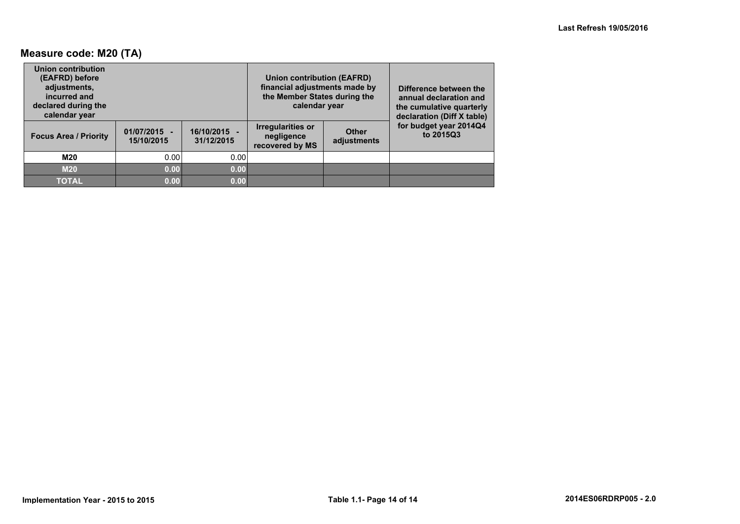### **Measure code: M20 (TA)**

| Union contribution<br>(EAFRD) before<br>adjustments,<br>incurred and<br>declared during the<br>calendar year |                              |                            | Union contribution (EAFRD)<br>financial adjustments made by<br>the Member States during the<br>calendar year | Difference between the<br>annual declaration and<br>the cumulative quarterly<br>declaration (Diff X table) |                                     |
|--------------------------------------------------------------------------------------------------------------|------------------------------|----------------------------|--------------------------------------------------------------------------------------------------------------|------------------------------------------------------------------------------------------------------------|-------------------------------------|
| <b>Focus Area / Priority</b>                                                                                 | $01/07/2015 -$<br>15/10/2015 | 16/10/2015 -<br>31/12/2015 | <b>Irregularities or</b><br>negligence<br>recovered by MS                                                    | <b>Other</b><br>adjustments                                                                                | for budget year 2014Q4<br>to 2015Q3 |
| M20                                                                                                          | 0.00                         | 0.00                       |                                                                                                              |                                                                                                            |                                     |
| <b>M20</b>                                                                                                   | 0.00                         | 0.00                       |                                                                                                              |                                                                                                            |                                     |
| <b>TOTAL</b>                                                                                                 | 0.00                         | 0.00                       |                                                                                                              |                                                                                                            |                                     |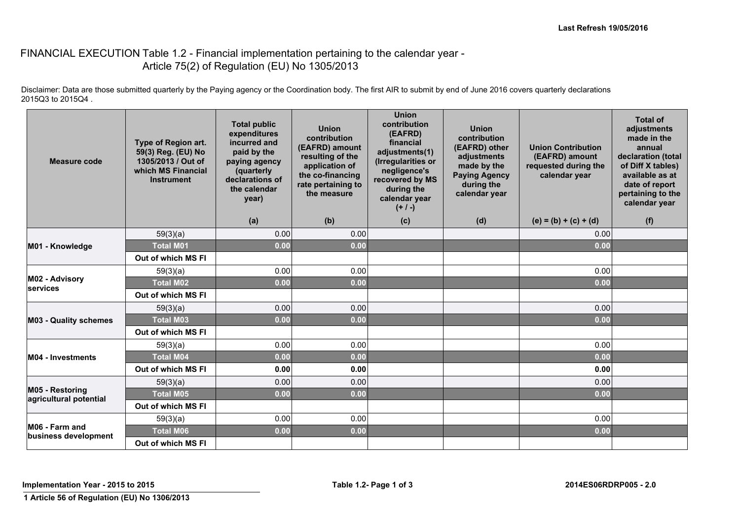#### FINANCIAL EXECUTION Table 1.2 - Financial implementation pertaining to the calendar year -Article 75(2) of Regulation (EU) No 1305/2013

Disclaimer: Data are those submitted quarterly by the Paying agency or the Coordination body. The first AIR to submit by end of June 2016 covers quarterly declarations 2015Q3 to 2015Q4 .

| <b>Measure code</b>                       | Type of Region art.<br>59(3) Reg. (EU) No<br>1305/2013 / Out of<br>which MS Financial<br><b>Instrument</b> | <b>Total public</b><br>expenditures<br>incurred and<br>paid by the<br>paying agency<br>(quarterly<br>declarations of<br>the calendar<br>year) | <b>Union</b><br>contribution<br>(EAFRD) amount<br>resulting of the<br>application of<br>the co-financing<br>rate pertaining to<br>the measure | <b>Union</b><br>contribution<br>(EAFRD)<br>financial<br>adjustments(1)<br>(Irregularities or<br>negligence's<br>recovered by MS<br>during the<br>calendar year<br>$(+ / -)$ | <b>Union</b><br>contribution<br>(EAFRD) other<br>adjustments<br>made by the<br><b>Paying Agency</b><br>during the<br>calendar year | <b>Union Contribution</b><br>(EAFRD) amount<br>requested during the<br>calendar year | <b>Total of</b><br>adjustments<br>made in the<br>annual<br>declaration (total<br>of Diff X tables)<br>available as at<br>date of report<br>pertaining to the<br>calendar year |
|-------------------------------------------|------------------------------------------------------------------------------------------------------------|-----------------------------------------------------------------------------------------------------------------------------------------------|-----------------------------------------------------------------------------------------------------------------------------------------------|-----------------------------------------------------------------------------------------------------------------------------------------------------------------------------|------------------------------------------------------------------------------------------------------------------------------------|--------------------------------------------------------------------------------------|-------------------------------------------------------------------------------------------------------------------------------------------------------------------------------|
|                                           |                                                                                                            | (a)                                                                                                                                           | (b)                                                                                                                                           | (c)                                                                                                                                                                         | (d)                                                                                                                                | $(e) = (b) + (c) + (d)$                                                              | (f)                                                                                                                                                                           |
|                                           | 59(3)(a)                                                                                                   | 0.00                                                                                                                                          | 0.00                                                                                                                                          |                                                                                                                                                                             |                                                                                                                                    | 0.00                                                                                 |                                                                                                                                                                               |
| M01 - Knowledge                           | <b>Total M01</b>                                                                                           | 0.00                                                                                                                                          | 0.00                                                                                                                                          |                                                                                                                                                                             |                                                                                                                                    | 0.00                                                                                 |                                                                                                                                                                               |
|                                           | Out of which MS FI                                                                                         |                                                                                                                                               |                                                                                                                                               |                                                                                                                                                                             |                                                                                                                                    |                                                                                      |                                                                                                                                                                               |
|                                           | 59(3)(a)                                                                                                   | 0.00                                                                                                                                          | 0.00                                                                                                                                          |                                                                                                                                                                             |                                                                                                                                    | 0.00                                                                                 |                                                                                                                                                                               |
| M02 - Advisory<br>services                | <b>Total M02</b>                                                                                           | 0.00                                                                                                                                          | 0.00                                                                                                                                          |                                                                                                                                                                             |                                                                                                                                    | 0.00                                                                                 |                                                                                                                                                                               |
|                                           | Out of which MS FI                                                                                         |                                                                                                                                               |                                                                                                                                               |                                                                                                                                                                             |                                                                                                                                    |                                                                                      |                                                                                                                                                                               |
|                                           | 59(3)(a)                                                                                                   | 0.00                                                                                                                                          | 0.00                                                                                                                                          |                                                                                                                                                                             |                                                                                                                                    | 0.00                                                                                 |                                                                                                                                                                               |
| <b>M03 - Quality schemes</b>              | <b>Total M03</b>                                                                                           | 0.00                                                                                                                                          | 0.00                                                                                                                                          |                                                                                                                                                                             |                                                                                                                                    | 0.00                                                                                 |                                                                                                                                                                               |
|                                           | Out of which MS FI                                                                                         |                                                                                                                                               |                                                                                                                                               |                                                                                                                                                                             |                                                                                                                                    |                                                                                      |                                                                                                                                                                               |
|                                           | 59(3)(a)                                                                                                   | 0.00                                                                                                                                          | 0.00                                                                                                                                          |                                                                                                                                                                             |                                                                                                                                    | 0.00                                                                                 |                                                                                                                                                                               |
| <b>M04 - Investments</b>                  | <b>Total M04</b>                                                                                           | 0.00                                                                                                                                          | 0.00                                                                                                                                          |                                                                                                                                                                             |                                                                                                                                    | 0.00                                                                                 |                                                                                                                                                                               |
|                                           | Out of which MS FI                                                                                         | 0.00                                                                                                                                          | 0.00                                                                                                                                          |                                                                                                                                                                             |                                                                                                                                    | 0.00                                                                                 |                                                                                                                                                                               |
|                                           | 59(3)(a)                                                                                                   | 0.00                                                                                                                                          | 0.00                                                                                                                                          |                                                                                                                                                                             |                                                                                                                                    | 0.00                                                                                 |                                                                                                                                                                               |
| M05 - Restoring<br>agricultural potential | <b>Total M05</b>                                                                                           | 0.00                                                                                                                                          | 0.00                                                                                                                                          |                                                                                                                                                                             |                                                                                                                                    | 0.00                                                                                 |                                                                                                                                                                               |
|                                           | Out of which MS FI                                                                                         |                                                                                                                                               |                                                                                                                                               |                                                                                                                                                                             |                                                                                                                                    |                                                                                      |                                                                                                                                                                               |
|                                           | 59(3)(a)                                                                                                   | 0.00                                                                                                                                          | 0.00                                                                                                                                          |                                                                                                                                                                             |                                                                                                                                    | 0.00                                                                                 |                                                                                                                                                                               |
| M06 - Farm and<br>business development    | <b>Total M06</b>                                                                                           | 0.00                                                                                                                                          | 0.00                                                                                                                                          |                                                                                                                                                                             |                                                                                                                                    | 0.00                                                                                 |                                                                                                                                                                               |
|                                           | Out of which MS FI                                                                                         |                                                                                                                                               |                                                                                                                                               |                                                                                                                                                                             |                                                                                                                                    |                                                                                      |                                                                                                                                                                               |

**Implementation Year - 2015 to 2015 Table 1.2- Page 1 of 3 2014ES06RDRP005 - 2.0**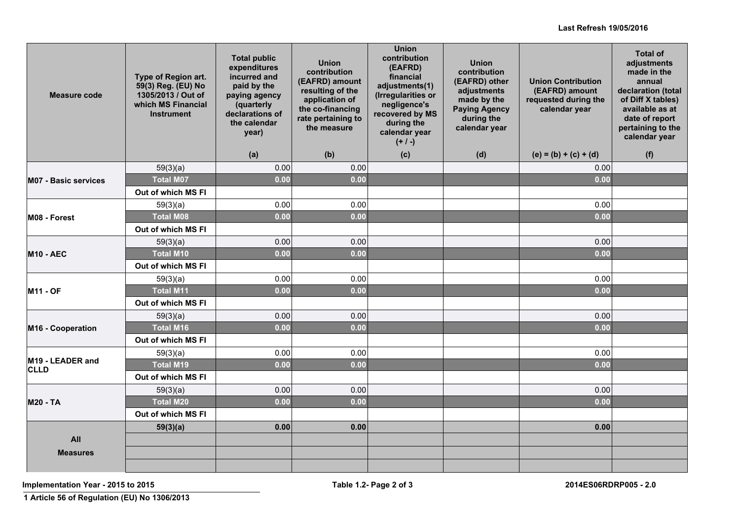| Measure code                    | Type of Region art.<br>59(3) Reg. (EU) No<br>1305/2013 / Out of<br>which MS Financial<br><b>Instrument</b> | <b>Total public</b><br>expenditures<br>incurred and<br>paid by the<br>paying agency<br>(quarterly<br>declarations of<br>the calendar<br>year)<br>(a) | <b>Union</b><br>contribution<br>(EAFRD) amount<br>resulting of the<br>application of<br>the co-financing<br>rate pertaining to<br>the measure<br>(b) | <b>Union</b><br>contribution<br>(EAFRD)<br>financial<br>adjustments(1)<br>(Irregularities or<br>negligence's<br>recovered by MS<br>during the<br>calendar year<br>$(+ / -)$ | <b>Union</b><br>contribution<br>(EAFRD) other<br>adjustments<br>made by the<br><b>Paying Agency</b><br>during the<br>calendar year<br>(d) | <b>Union Contribution</b><br>(EAFRD) amount<br>requested during the<br>calendar year<br>$(e) = (b) + (c) + (d)$ | <b>Total of</b><br>adjustments<br>made in the<br>annual<br>declaration (total<br>of Diff X tables)<br>available as at<br>date of report<br>pertaining to the<br>calendar year |
|---------------------------------|------------------------------------------------------------------------------------------------------------|------------------------------------------------------------------------------------------------------------------------------------------------------|------------------------------------------------------------------------------------------------------------------------------------------------------|-----------------------------------------------------------------------------------------------------------------------------------------------------------------------------|-------------------------------------------------------------------------------------------------------------------------------------------|-----------------------------------------------------------------------------------------------------------------|-------------------------------------------------------------------------------------------------------------------------------------------------------------------------------|
|                                 | 59(3)(a)                                                                                                   | 0.00                                                                                                                                                 | 0.00                                                                                                                                                 | (c)                                                                                                                                                                         |                                                                                                                                           | 0.00                                                                                                            | (f)                                                                                                                                                                           |
| <b>M07 - Basic services</b>     | <b>Total M07</b>                                                                                           | 0.00                                                                                                                                                 | 0.00                                                                                                                                                 |                                                                                                                                                                             |                                                                                                                                           | 0.00                                                                                                            |                                                                                                                                                                               |
|                                 | Out of which MS FI                                                                                         |                                                                                                                                                      |                                                                                                                                                      |                                                                                                                                                                             |                                                                                                                                           |                                                                                                                 |                                                                                                                                                                               |
|                                 | 59(3)(a)                                                                                                   | 0.00                                                                                                                                                 | 0.00                                                                                                                                                 |                                                                                                                                                                             |                                                                                                                                           | 0.00                                                                                                            |                                                                                                                                                                               |
| M08 - Forest                    | <b>Total M08</b>                                                                                           | 0.00                                                                                                                                                 | 0.00                                                                                                                                                 |                                                                                                                                                                             |                                                                                                                                           | 0.00                                                                                                            |                                                                                                                                                                               |
|                                 | Out of which MS FI                                                                                         |                                                                                                                                                      |                                                                                                                                                      |                                                                                                                                                                             |                                                                                                                                           |                                                                                                                 |                                                                                                                                                                               |
|                                 | 59(3)(a)                                                                                                   | 0.00                                                                                                                                                 | 0.00                                                                                                                                                 |                                                                                                                                                                             |                                                                                                                                           | 0.00                                                                                                            |                                                                                                                                                                               |
| <b>M10 - AEC</b>                | <b>Total M10</b>                                                                                           | 0.00                                                                                                                                                 | 0.00                                                                                                                                                 |                                                                                                                                                                             |                                                                                                                                           | 0.00                                                                                                            |                                                                                                                                                                               |
|                                 | Out of which MS FI                                                                                         |                                                                                                                                                      |                                                                                                                                                      |                                                                                                                                                                             |                                                                                                                                           |                                                                                                                 |                                                                                                                                                                               |
|                                 | 59(3)(a)                                                                                                   | 0.00                                                                                                                                                 | 0.00                                                                                                                                                 |                                                                                                                                                                             |                                                                                                                                           | 0.00                                                                                                            |                                                                                                                                                                               |
| <b>M11 - OF</b>                 | <b>Total M11</b>                                                                                           | 0.00                                                                                                                                                 | 0.00                                                                                                                                                 |                                                                                                                                                                             |                                                                                                                                           | 0.00                                                                                                            |                                                                                                                                                                               |
|                                 | Out of which MS FI                                                                                         |                                                                                                                                                      |                                                                                                                                                      |                                                                                                                                                                             |                                                                                                                                           |                                                                                                                 |                                                                                                                                                                               |
|                                 | 59(3)(a)                                                                                                   | 0.00                                                                                                                                                 | 0.00                                                                                                                                                 |                                                                                                                                                                             |                                                                                                                                           | 0.00                                                                                                            |                                                                                                                                                                               |
| M16 - Cooperation               | <b>Total M16</b>                                                                                           | 0.00                                                                                                                                                 | 0.00                                                                                                                                                 |                                                                                                                                                                             |                                                                                                                                           | 0.00                                                                                                            |                                                                                                                                                                               |
|                                 | Out of which MS FI                                                                                         |                                                                                                                                                      |                                                                                                                                                      |                                                                                                                                                                             |                                                                                                                                           |                                                                                                                 |                                                                                                                                                                               |
|                                 | 59(3)(a)                                                                                                   | 0.00                                                                                                                                                 | 0.00                                                                                                                                                 |                                                                                                                                                                             |                                                                                                                                           | 0.00                                                                                                            |                                                                                                                                                                               |
| M19 - LEADER and<br><b>CLLD</b> | <b>Total M19</b>                                                                                           | 0.00                                                                                                                                                 | 0.00                                                                                                                                                 |                                                                                                                                                                             |                                                                                                                                           | 0.00                                                                                                            |                                                                                                                                                                               |
|                                 | Out of which MS FI                                                                                         |                                                                                                                                                      |                                                                                                                                                      |                                                                                                                                                                             |                                                                                                                                           |                                                                                                                 |                                                                                                                                                                               |
|                                 | 59(3)(a)                                                                                                   | 0.00                                                                                                                                                 | 0.00                                                                                                                                                 |                                                                                                                                                                             |                                                                                                                                           | 0.00                                                                                                            |                                                                                                                                                                               |
| <b>M20 - TA</b>                 | <b>Total M20</b>                                                                                           | 0.00                                                                                                                                                 | 0.00                                                                                                                                                 |                                                                                                                                                                             |                                                                                                                                           | 0.00                                                                                                            |                                                                                                                                                                               |
|                                 | Out of which MS FI                                                                                         |                                                                                                                                                      |                                                                                                                                                      |                                                                                                                                                                             |                                                                                                                                           |                                                                                                                 |                                                                                                                                                                               |
|                                 | 59(3)(a)                                                                                                   | 0.00                                                                                                                                                 | 0.00                                                                                                                                                 |                                                                                                                                                                             |                                                                                                                                           | 0.00                                                                                                            |                                                                                                                                                                               |
| All                             |                                                                                                            |                                                                                                                                                      |                                                                                                                                                      |                                                                                                                                                                             |                                                                                                                                           |                                                                                                                 |                                                                                                                                                                               |
| <b>Measures</b>                 |                                                                                                            |                                                                                                                                                      |                                                                                                                                                      |                                                                                                                                                                             |                                                                                                                                           |                                                                                                                 |                                                                                                                                                                               |
|                                 |                                                                                                            |                                                                                                                                                      |                                                                                                                                                      |                                                                                                                                                                             |                                                                                                                                           |                                                                                                                 |                                                                                                                                                                               |

**Implementation Year - 2015 to 2015 Table 1.2- Page 2 of 3 2014ES06RDRP005 - 2.0**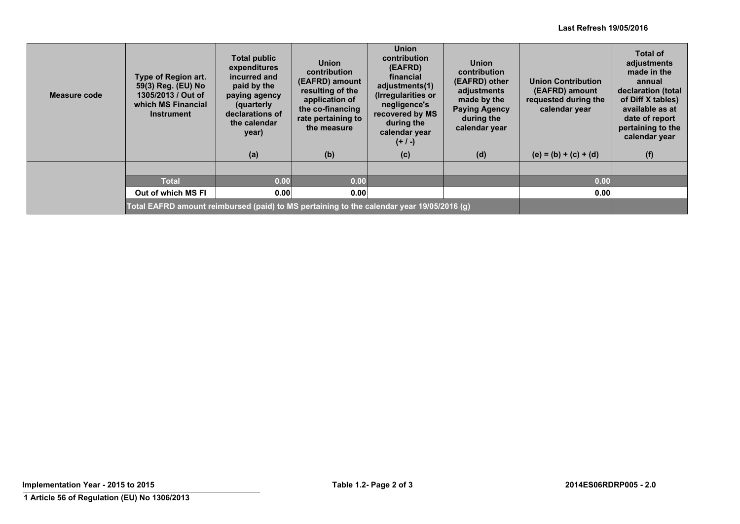| Measure code | Type of Region art.<br>59(3) Reg. (EU) No<br>1305/2013 / Out of<br>which MS Financial<br><b>Instrument</b> | <b>Total public</b><br>expenditures<br>incurred and<br>paid by the<br>paying agency<br>(quarterly<br>declarations of<br>the calendar<br>year) | <b>Union</b><br>contribution<br>(EAFRD) amount<br>resulting of the<br>application of<br>the co-financing<br>rate pertaining to<br>the measure | <b>Union</b><br>contribution<br>(EAFRD)<br>financial<br>adjustments(1)<br>(Irregularities or<br>negligence's<br>recovered by MS<br>during the<br>calendar year<br>$(+ / -)$ | <b>Union</b><br>contribution<br>(EAFRD) other<br>adjustments<br>made by the<br><b>Paying Agency</b><br>during the<br>calendar year | <b>Union Contribution</b><br>(EAFRD) amount<br>requested during the<br>calendar year | <b>Total of</b><br>adjustments<br>made in the<br>annual<br>declaration (total<br>of Diff X tables)<br>available as at<br>date of report<br>pertaining to the<br>calendar year |
|--------------|------------------------------------------------------------------------------------------------------------|-----------------------------------------------------------------------------------------------------------------------------------------------|-----------------------------------------------------------------------------------------------------------------------------------------------|-----------------------------------------------------------------------------------------------------------------------------------------------------------------------------|------------------------------------------------------------------------------------------------------------------------------------|--------------------------------------------------------------------------------------|-------------------------------------------------------------------------------------------------------------------------------------------------------------------------------|
|              |                                                                                                            | (a)                                                                                                                                           | (b)                                                                                                                                           | (c)                                                                                                                                                                         | (d)                                                                                                                                | $(e) = (b) + (c) + (d)$                                                              | (f)                                                                                                                                                                           |
|              |                                                                                                            |                                                                                                                                               |                                                                                                                                               |                                                                                                                                                                             |                                                                                                                                    |                                                                                      |                                                                                                                                                                               |
|              | <b>Total</b>                                                                                               | 0.00                                                                                                                                          | 0.00                                                                                                                                          |                                                                                                                                                                             |                                                                                                                                    | 0.00                                                                                 |                                                                                                                                                                               |
|              | Out of which MS FI                                                                                         | 0.00                                                                                                                                          | 0.00                                                                                                                                          |                                                                                                                                                                             |                                                                                                                                    | 0.00                                                                                 |                                                                                                                                                                               |
|              | Total EAFRD amount reimbursed (paid) to MS pertaining to the calendar year 19/05/2016 (g)                  |                                                                                                                                               |                                                                                                                                               |                                                                                                                                                                             |                                                                                                                                    |                                                                                      |                                                                                                                                                                               |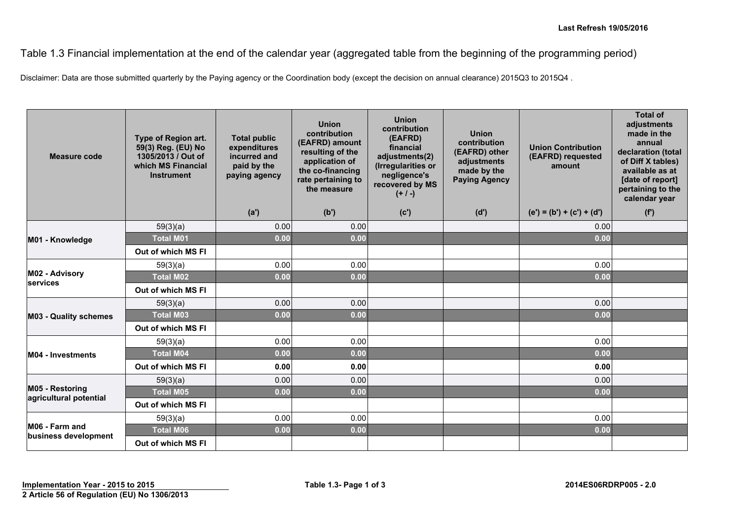Table 1.3 Financial implementation at the end of the calendar year (aggregated table from the beginning of the programming period)

Disclaimer: Data are those submitted quarterly by the Paying agency or the Coordination body (except the decision on annual clearance) 2015Q3 to 2015Q4 .

| Measure code                              | Type of Region art.<br>59(3) Reg. (EU) No<br>1305/2013 / Out of<br>which MS Financial<br><b>Instrument</b> | <b>Total public</b><br>expenditures<br>incurred and<br>paid by the<br>paying agency | <b>Union</b><br>contribution<br>(EAFRD) amount<br>resulting of the<br>application of<br>the co-financing<br>rate pertaining to<br>the measure | <b>Union</b><br>contribution<br>(EAFRD)<br>financial<br>adjustments(2)<br>(Irregularities or<br>negligence's<br>recovered by MS<br>$(+ / -)$ | <b>Union</b><br>contribution<br>(EAFRD) other<br>adjustments<br>made by the<br><b>Paying Agency</b> | <b>Union Contribution</b><br>(EAFRD) requested<br>amount | <b>Total of</b><br>adjustments<br>made in the<br>annual<br>declaration (total<br>of Diff X tables)<br>available as at<br>[date of report]<br>pertaining to the<br>calendar year |
|-------------------------------------------|------------------------------------------------------------------------------------------------------------|-------------------------------------------------------------------------------------|-----------------------------------------------------------------------------------------------------------------------------------------------|----------------------------------------------------------------------------------------------------------------------------------------------|-----------------------------------------------------------------------------------------------------|----------------------------------------------------------|---------------------------------------------------------------------------------------------------------------------------------------------------------------------------------|
|                                           |                                                                                                            | (a')                                                                                | (b')                                                                                                                                          | (c')                                                                                                                                         | (d')                                                                                                | $(e') = (b') + (c') + (d')$                              | (f')                                                                                                                                                                            |
|                                           | 59(3)(a)                                                                                                   | 0.00                                                                                | 0.00                                                                                                                                          |                                                                                                                                              |                                                                                                     | 0.00                                                     |                                                                                                                                                                                 |
| M01 - Knowledge                           | <b>Total M01</b>                                                                                           | 0.00                                                                                | 0.00                                                                                                                                          |                                                                                                                                              |                                                                                                     | 0.00                                                     |                                                                                                                                                                                 |
|                                           | Out of which MS FI                                                                                         |                                                                                     |                                                                                                                                               |                                                                                                                                              |                                                                                                     |                                                          |                                                                                                                                                                                 |
|                                           | 59(3)(a)                                                                                                   | 0.00                                                                                | 0.00                                                                                                                                          |                                                                                                                                              |                                                                                                     | 0.00                                                     |                                                                                                                                                                                 |
| M02 - Advisory<br>services                | <b>Total M02</b>                                                                                           | 0.00                                                                                | 0.00                                                                                                                                          |                                                                                                                                              |                                                                                                     | 0.00                                                     |                                                                                                                                                                                 |
|                                           | Out of which MS FI                                                                                         |                                                                                     |                                                                                                                                               |                                                                                                                                              |                                                                                                     |                                                          |                                                                                                                                                                                 |
|                                           | 59(3)(a)                                                                                                   | 0.00                                                                                | 0.00                                                                                                                                          |                                                                                                                                              |                                                                                                     | 0.00                                                     |                                                                                                                                                                                 |
| <b>M03 - Quality schemes</b>              | <b>Total M03</b>                                                                                           | 0.00                                                                                | 0.00                                                                                                                                          |                                                                                                                                              |                                                                                                     | 0.00                                                     |                                                                                                                                                                                 |
|                                           | Out of which MS FI                                                                                         |                                                                                     |                                                                                                                                               |                                                                                                                                              |                                                                                                     |                                                          |                                                                                                                                                                                 |
|                                           | 59(3)(a)                                                                                                   | 0.00                                                                                | 0.00                                                                                                                                          |                                                                                                                                              |                                                                                                     | 0.00                                                     |                                                                                                                                                                                 |
| <b>M04 - Investments</b>                  | <b>Total M04</b>                                                                                           | 0.00                                                                                | 0.00                                                                                                                                          |                                                                                                                                              |                                                                                                     | 0.00                                                     |                                                                                                                                                                                 |
|                                           | Out of which MS FI                                                                                         | 0.00                                                                                | 0.00                                                                                                                                          |                                                                                                                                              |                                                                                                     | 0.00                                                     |                                                                                                                                                                                 |
|                                           | 59(3)(a)                                                                                                   | 0.00                                                                                | 0.00                                                                                                                                          |                                                                                                                                              |                                                                                                     | 0.00                                                     |                                                                                                                                                                                 |
| M05 - Restoring<br>agricultural potential | <b>Total M05</b>                                                                                           | 0.00                                                                                | 0.00                                                                                                                                          |                                                                                                                                              |                                                                                                     | 0.00                                                     |                                                                                                                                                                                 |
|                                           | Out of which MS FI                                                                                         |                                                                                     |                                                                                                                                               |                                                                                                                                              |                                                                                                     |                                                          |                                                                                                                                                                                 |
|                                           | 59(3)(a)                                                                                                   | 0.00                                                                                | 0.00                                                                                                                                          |                                                                                                                                              |                                                                                                     | 0.00                                                     |                                                                                                                                                                                 |
| M06 - Farm and<br>business development    | <b>Total M06</b>                                                                                           | 0.00                                                                                | 0.00                                                                                                                                          |                                                                                                                                              |                                                                                                     | 0.00                                                     |                                                                                                                                                                                 |
|                                           | Out of which MS FI                                                                                         |                                                                                     |                                                                                                                                               |                                                                                                                                              |                                                                                                     |                                                          |                                                                                                                                                                                 |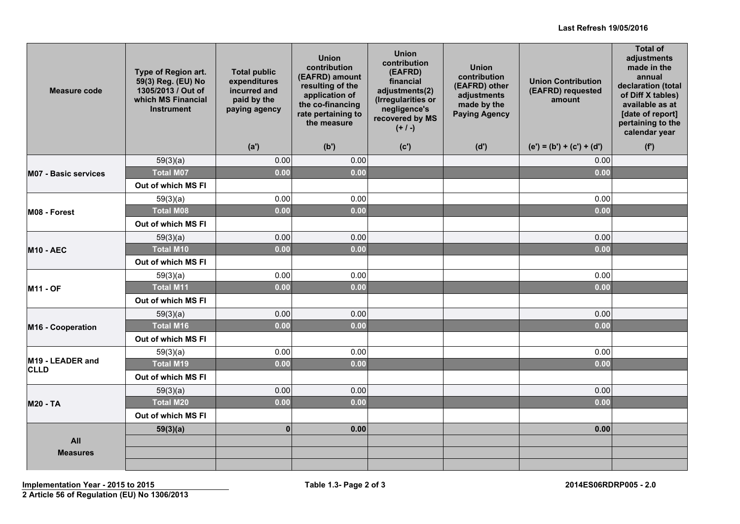| Measure code                    | Type of Region art.<br>59(3) Reg. (EU) No<br>1305/2013 / Out of<br>which MS Financial<br><b>Instrument</b> | <b>Total public</b><br>expenditures<br>incurred and<br>paid by the<br>paying agency | <b>Union</b><br>contribution<br>(EAFRD) amount<br>resulting of the<br>application of<br>the co-financing<br>rate pertaining to<br>the measure | <b>Union</b><br>contribution<br>(EAFRD)<br>financial<br>adjustments(2)<br>(Irregularities or<br>negligence's<br>recovered by MS<br>$(+ / -)$ | <b>Union</b><br>contribution<br>(EAFRD) other<br>adjustments<br>made by the<br><b>Paying Agency</b> | <b>Union Contribution</b><br>(EAFRD) requested<br>amount | <b>Total of</b><br>adjustments<br>made in the<br>annual<br>declaration (total<br>of Diff X tables)<br>available as at<br>[date of report]<br>pertaining to the<br>calendar year |
|---------------------------------|------------------------------------------------------------------------------------------------------------|-------------------------------------------------------------------------------------|-----------------------------------------------------------------------------------------------------------------------------------------------|----------------------------------------------------------------------------------------------------------------------------------------------|-----------------------------------------------------------------------------------------------------|----------------------------------------------------------|---------------------------------------------------------------------------------------------------------------------------------------------------------------------------------|
|                                 |                                                                                                            | (a')                                                                                | (b')                                                                                                                                          | (c')                                                                                                                                         | (d')                                                                                                | $(e') = (b') + (c') + (d')$                              | (f')                                                                                                                                                                            |
|                                 | 59(3)(a)                                                                                                   | 0.00                                                                                | 0.00                                                                                                                                          |                                                                                                                                              |                                                                                                     | 0.00                                                     |                                                                                                                                                                                 |
| <b>M07 - Basic services</b>     | <b>Total M07</b>                                                                                           | 0.00                                                                                | 0.00                                                                                                                                          |                                                                                                                                              |                                                                                                     | 0.00                                                     |                                                                                                                                                                                 |
|                                 | Out of which MS FI                                                                                         |                                                                                     |                                                                                                                                               |                                                                                                                                              |                                                                                                     |                                                          |                                                                                                                                                                                 |
|                                 | 59(3)(a)                                                                                                   | 0.00                                                                                | 0.00                                                                                                                                          |                                                                                                                                              |                                                                                                     | 0.00                                                     |                                                                                                                                                                                 |
| M08 - Forest                    | <b>Total M08</b>                                                                                           | 0.00                                                                                | 0.00                                                                                                                                          |                                                                                                                                              |                                                                                                     | 0.00                                                     |                                                                                                                                                                                 |
|                                 | Out of which MS FI                                                                                         |                                                                                     |                                                                                                                                               |                                                                                                                                              |                                                                                                     |                                                          |                                                                                                                                                                                 |
|                                 | 59(3)(a)                                                                                                   | 0.00                                                                                | 0.00                                                                                                                                          |                                                                                                                                              |                                                                                                     | 0.00                                                     |                                                                                                                                                                                 |
| <b>M10 - AEC</b>                | <b>Total M10</b>                                                                                           | 0.00                                                                                | 0.00                                                                                                                                          |                                                                                                                                              |                                                                                                     | 0.00                                                     |                                                                                                                                                                                 |
|                                 | Out of which MS FI                                                                                         |                                                                                     |                                                                                                                                               |                                                                                                                                              |                                                                                                     |                                                          |                                                                                                                                                                                 |
|                                 | 59(3)(a)                                                                                                   | 0.00                                                                                | 0.00                                                                                                                                          |                                                                                                                                              |                                                                                                     | 0.00                                                     |                                                                                                                                                                                 |
| <b>M11 - OF</b>                 | <b>Total M11</b>                                                                                           | 0.00                                                                                | 0.00                                                                                                                                          |                                                                                                                                              |                                                                                                     | 0.00                                                     |                                                                                                                                                                                 |
|                                 | Out of which MS FI                                                                                         |                                                                                     |                                                                                                                                               |                                                                                                                                              |                                                                                                     |                                                          |                                                                                                                                                                                 |
|                                 | 59(3)(a)                                                                                                   | 0.00                                                                                | 0.00                                                                                                                                          |                                                                                                                                              |                                                                                                     | 0.00                                                     |                                                                                                                                                                                 |
| M16 - Cooperation               | <b>Total M16</b>                                                                                           | 0.00                                                                                | 0.00                                                                                                                                          |                                                                                                                                              |                                                                                                     | 0.00                                                     |                                                                                                                                                                                 |
|                                 | Out of which MS FI                                                                                         |                                                                                     |                                                                                                                                               |                                                                                                                                              |                                                                                                     |                                                          |                                                                                                                                                                                 |
|                                 | 59(3)(a)                                                                                                   | 0.00                                                                                | 0.00                                                                                                                                          |                                                                                                                                              |                                                                                                     | 0.00                                                     |                                                                                                                                                                                 |
| M19 - LEADER and<br><b>CLLD</b> | <b>Total M19</b>                                                                                           | 0.00                                                                                | 0.00                                                                                                                                          |                                                                                                                                              |                                                                                                     | 0.00                                                     |                                                                                                                                                                                 |
|                                 | Out of which MS FI                                                                                         |                                                                                     |                                                                                                                                               |                                                                                                                                              |                                                                                                     |                                                          |                                                                                                                                                                                 |
|                                 | 59(3)(a)                                                                                                   | 0.00                                                                                | 0.00                                                                                                                                          |                                                                                                                                              |                                                                                                     | 0.00                                                     |                                                                                                                                                                                 |
| <b>M20 - TA</b>                 | <b>Total M20</b>                                                                                           | 0.00                                                                                | 0.00                                                                                                                                          |                                                                                                                                              |                                                                                                     | 0.00                                                     |                                                                                                                                                                                 |
|                                 | Out of which MS FI                                                                                         |                                                                                     |                                                                                                                                               |                                                                                                                                              |                                                                                                     |                                                          |                                                                                                                                                                                 |
|                                 | 59(3)(a)                                                                                                   | $\mathbf{0}$                                                                        | 0.00                                                                                                                                          |                                                                                                                                              |                                                                                                     | 0.00                                                     |                                                                                                                                                                                 |
| All                             |                                                                                                            |                                                                                     |                                                                                                                                               |                                                                                                                                              |                                                                                                     |                                                          |                                                                                                                                                                                 |
| <b>Measures</b>                 |                                                                                                            |                                                                                     |                                                                                                                                               |                                                                                                                                              |                                                                                                     |                                                          |                                                                                                                                                                                 |
|                                 |                                                                                                            |                                                                                     |                                                                                                                                               |                                                                                                                                              |                                                                                                     |                                                          |                                                                                                                                                                                 |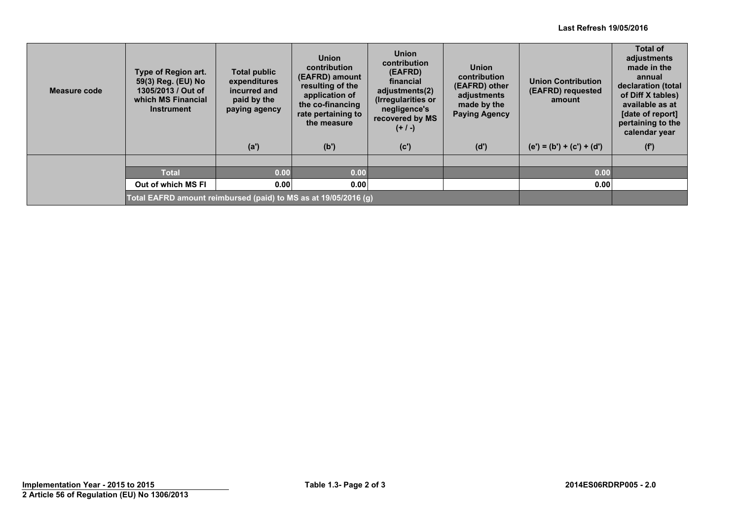#### **Last Refresh 19/05/2016**

| Measure code | Type of Region art.<br>59(3) Reg. (EU) No<br>1305/2013 / Out of<br>which MS Financial<br><b>Instrument</b> | Total public<br>expenditures<br>incurred and<br>paid by the<br>paying agency | <b>Union</b><br>contribution<br>(EAFRD) amount<br>resulting of the<br>application of<br>the co-financing<br>rate pertaining to<br>the measure | <b>Union</b><br>contribution<br>(EAFRD)<br>financial<br>adjustments(2)<br>(Irregularities or<br>negligence's<br>recovered by MS<br>$(+ / -)$ | <b>Union</b><br>contribution<br>(EAFRD) other<br>adjustments<br>made by the<br><b>Paying Agency</b> | <b>Union Contribution</b><br>(EAFRD) requested<br>amount | <b>Total of</b><br>adjustments<br>made in the<br>annual<br>declaration (total<br>of Diff X tables)<br>available as at<br>[date of report]<br>pertaining to the<br>calendar year |
|--------------|------------------------------------------------------------------------------------------------------------|------------------------------------------------------------------------------|-----------------------------------------------------------------------------------------------------------------------------------------------|----------------------------------------------------------------------------------------------------------------------------------------------|-----------------------------------------------------------------------------------------------------|----------------------------------------------------------|---------------------------------------------------------------------------------------------------------------------------------------------------------------------------------|
|              |                                                                                                            | (a')                                                                         | (b')                                                                                                                                          | (c')                                                                                                                                         | (d')                                                                                                | $(e') = (b') + (c') + (d')$                              | (f')                                                                                                                                                                            |
|              |                                                                                                            |                                                                              |                                                                                                                                               |                                                                                                                                              |                                                                                                     |                                                          |                                                                                                                                                                                 |
|              | <b>Total</b>                                                                                               | 0.00                                                                         | 0.00                                                                                                                                          |                                                                                                                                              |                                                                                                     | 0.00                                                     |                                                                                                                                                                                 |
|              | Out of which MS FI                                                                                         | 0.00                                                                         | 0.00                                                                                                                                          |                                                                                                                                              |                                                                                                     | 0.00                                                     |                                                                                                                                                                                 |
|              | Total EAFRD amount reimbursed (paid) to MS as at 19/05/2016 (g)                                            |                                                                              |                                                                                                                                               |                                                                                                                                              |                                                                                                     |                                                          |                                                                                                                                                                                 |